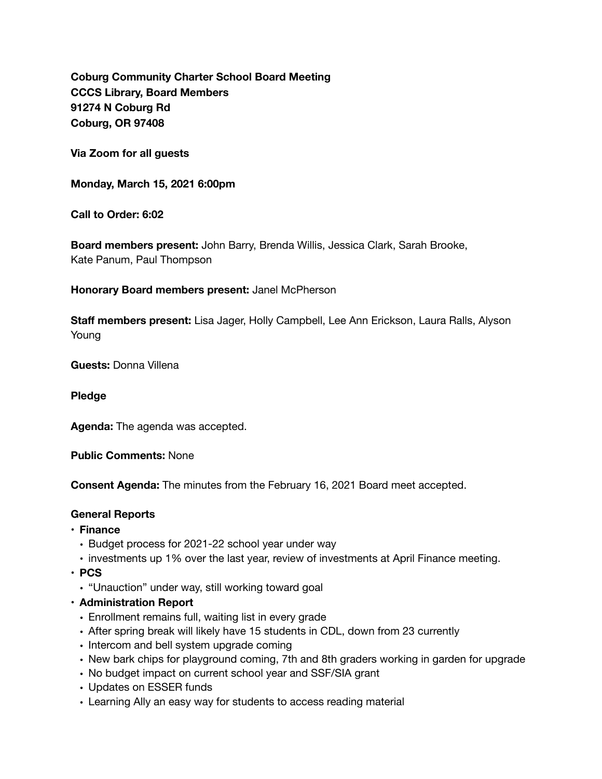**Coburg Community Charter School Board Meeting CCCS Library, Board Members 91274 N Coburg Rd Coburg, OR 97408** 

**Via Zoom for all guests** 

**Monday, March 15, 2021 6:00pm** 

**Call to Order: 6:02** 

**Board members present:** John Barry, Brenda Willis, Jessica Clark, Sarah Brooke, Kate Panum, Paul Thompson

**Honorary Board members present:** Janel McPherson

**Staff members present:** Lisa Jager, Holly Campbell, Lee Ann Erickson, Laura Ralls, Alyson Young

**Guests:** Donna Villena

**Pledge** 

**Agenda:** The agenda was accepted.

**Public Comments:** None

**Consent Agenda:** The minutes from the February 16, 2021 Board meet accepted.

#### **General Reports**

- **• Finance** 
	- Budget process for 2021-22 school year under way
	- investments up 1% over the last year, review of investments at April Finance meeting.
- **• PCS** 
	- "Unauction" under way, still working toward goal
- **• Administration Report** 
	- Enrollment remains full, waiting list in every grade
	- After spring break will likely have 15 students in CDL, down from 23 currently
	- Intercom and bell system upgrade coming
	- New bark chips for playground coming, 7th and 8th graders working in garden for upgrade
	- No budget impact on current school year and SSF/SIA grant
	- Updates on ESSER funds
	- Learning Ally an easy way for students to access reading material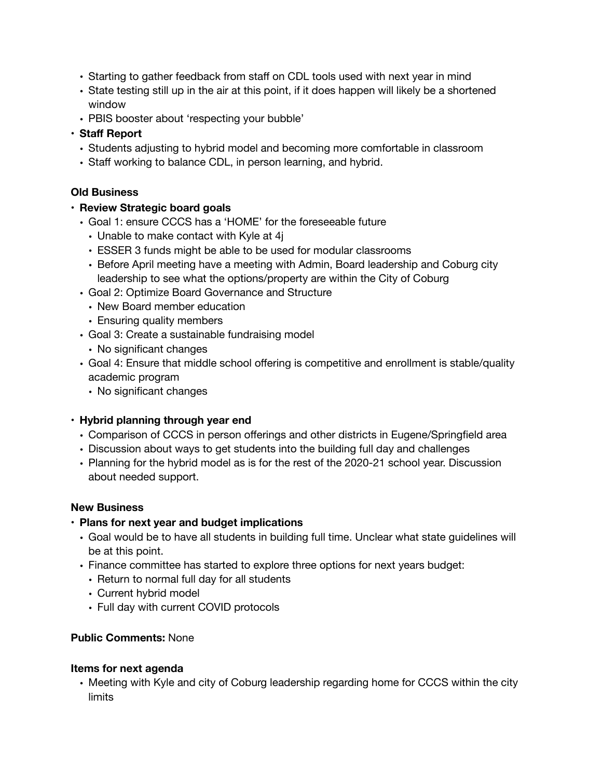- Starting to gather feedback from staff on CDL tools used with next year in mind
- State testing still up in the air at this point, if it does happen will likely be a shortened window
- PBIS booster about 'respecting your bubble'

## **• Staff Report**

- Students adjusting to hybrid model and becoming more comfortable in classroom
- Staff working to balance CDL, in person learning, and hybrid.

### **Old Business**

### **• Review Strategic board goals**

- Goal 1: ensure CCCS has a 'HOME' for the foreseeable future
	- Unable to make contact with Kyle at 4j
	- ESSER 3 funds might be able to be used for modular classrooms
	- Before April meeting have a meeting with Admin, Board leadership and Coburg city leadership to see what the options/property are within the City of Coburg
- Goal 2: Optimize Board Governance and Structure
	- New Board member education
	- Ensuring quality members
- Goal 3: Create a sustainable fundraising model
	- No significant changes
- Goal 4: Ensure that middle school offering is competitive and enrollment is stable/quality academic program
	- No significant changes

### **• Hybrid planning through year end**

- Comparison of CCCS in person offerings and other districts in Eugene/Springfield area
- Discussion about ways to get students into the building full day and challenges
- Planning for the hybrid model as is for the rest of the 2020-21 school year. Discussion about needed support.

#### **New Business**

- **• Plans for next year and budget implications** 
	- Goal would be to have all students in building full time. Unclear what state guidelines will be at this point.
	- Finance committee has started to explore three options for next years budget:
		- Return to normal full day for all students
		- Current hybrid model
		- Full day with current COVID protocols

#### **Public Comments:** None

#### **Items for next agenda**

• Meeting with Kyle and city of Coburg leadership regarding home for CCCS within the city limits